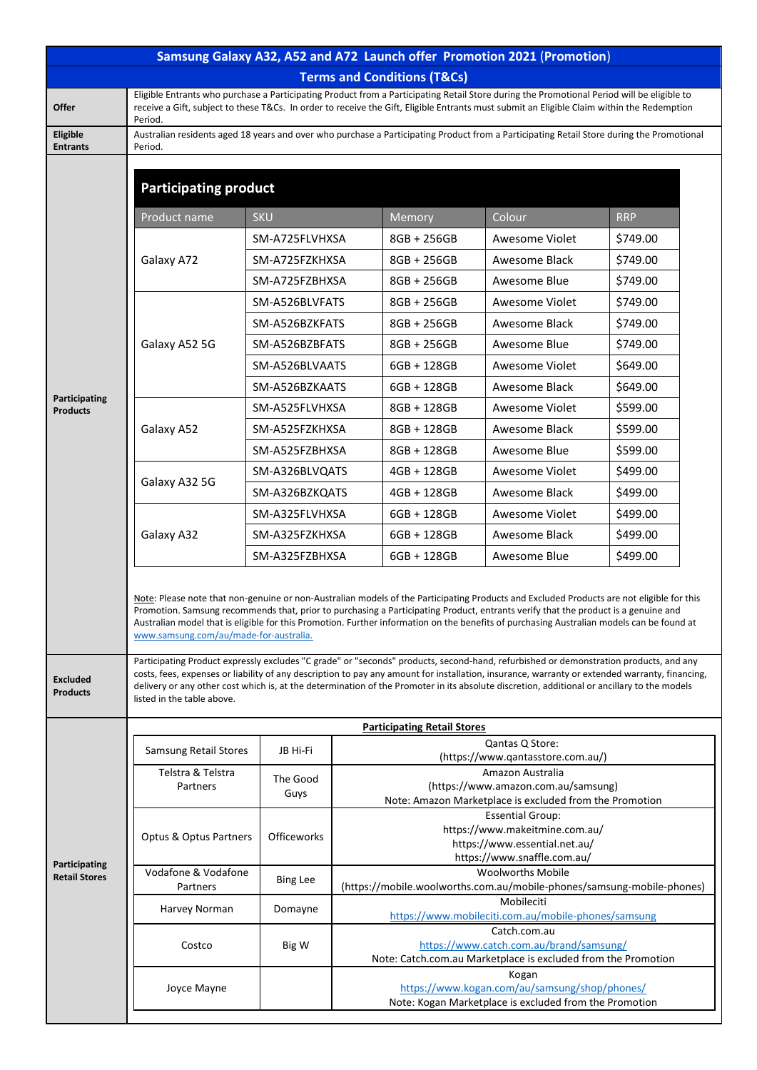| Samsung Galaxy A32, A52 and A72 Launch offer Promotion 2021 (Promotion) |                                                                                                                                                                                                                                                                                                                                                                                                                                                                                                                                                                                                                 |                 |                                                                                                                          |                                                                                                |                |            |  |  |  |  |
|-------------------------------------------------------------------------|-----------------------------------------------------------------------------------------------------------------------------------------------------------------------------------------------------------------------------------------------------------------------------------------------------------------------------------------------------------------------------------------------------------------------------------------------------------------------------------------------------------------------------------------------------------------------------------------------------------------|-----------------|--------------------------------------------------------------------------------------------------------------------------|------------------------------------------------------------------------------------------------|----------------|------------|--|--|--|--|
| <b>Terms and Conditions (T&amp;Cs)</b>                                  |                                                                                                                                                                                                                                                                                                                                                                                                                                                                                                                                                                                                                 |                 |                                                                                                                          |                                                                                                |                |            |  |  |  |  |
| <b>Offer</b>                                                            | Eligible Entrants who purchase a Participating Product from a Participating Retail Store during the Promotional Period will be eligible to<br>receive a Gift, subject to these T&Cs. In order to receive the Gift, Eligible Entrants must submit an Eligible Claim within the Redemption<br>Period.                                                                                                                                                                                                                                                                                                             |                 |                                                                                                                          |                                                                                                |                |            |  |  |  |  |
| Eligible<br><b>Entrants</b>                                             | Australian residents aged 18 years and over who purchase a Participating Product from a Participating Retail Store during the Promotional<br>Period.                                                                                                                                                                                                                                                                                                                                                                                                                                                            |                 |                                                                                                                          |                                                                                                |                |            |  |  |  |  |
|                                                                         | <b>Participating product</b>                                                                                                                                                                                                                                                                                                                                                                                                                                                                                                                                                                                    |                 |                                                                                                                          |                                                                                                |                |            |  |  |  |  |
|                                                                         | Product name                                                                                                                                                                                                                                                                                                                                                                                                                                                                                                                                                                                                    | <b>SKU</b>      |                                                                                                                          | Memory                                                                                         | Colour         | <b>RRP</b> |  |  |  |  |
|                                                                         | Galaxy A72                                                                                                                                                                                                                                                                                                                                                                                                                                                                                                                                                                                                      | SM-A725FLVHXSA  |                                                                                                                          | 8GB + 256GB                                                                                    | Awesome Violet | \$749.00   |  |  |  |  |
|                                                                         |                                                                                                                                                                                                                                                                                                                                                                                                                                                                                                                                                                                                                 | SM-A725FZKHXSA  |                                                                                                                          | 8GB + 256GB                                                                                    | Awesome Black  | \$749.00   |  |  |  |  |
|                                                                         |                                                                                                                                                                                                                                                                                                                                                                                                                                                                                                                                                                                                                 | SM-A725FZBHXSA  |                                                                                                                          | 8GB + 256GB                                                                                    | Awesome Blue   | \$749.00   |  |  |  |  |
|                                                                         |                                                                                                                                                                                                                                                                                                                                                                                                                                                                                                                                                                                                                 | SM-A526BLVFATS  |                                                                                                                          | 8GB + 256GB                                                                                    | Awesome Violet | \$749.00   |  |  |  |  |
|                                                                         |                                                                                                                                                                                                                                                                                                                                                                                                                                                                                                                                                                                                                 | SM-A526BZKFATS  |                                                                                                                          | 8GB + 256GB                                                                                    | Awesome Black  | \$749.00   |  |  |  |  |
|                                                                         | Galaxy A52 5G                                                                                                                                                                                                                                                                                                                                                                                                                                                                                                                                                                                                   |                 | SM-A526BZBFATS                                                                                                           |                                                                                                | Awesome Blue   | \$749.00   |  |  |  |  |
|                                                                         |                                                                                                                                                                                                                                                                                                                                                                                                                                                                                                                                                                                                                 | SM-A526BLVAATS  |                                                                                                                          | 6GB + 128GB                                                                                    | Awesome Violet | \$649.00   |  |  |  |  |
|                                                                         |                                                                                                                                                                                                                                                                                                                                                                                                                                                                                                                                                                                                                 | SM-A526BZKAATS  |                                                                                                                          | 6GB + 128GB                                                                                    | Awesome Black  | \$649.00   |  |  |  |  |
| Participating<br><b>Products</b>                                        |                                                                                                                                                                                                                                                                                                                                                                                                                                                                                                                                                                                                                 | SM-A525FLVHXSA  |                                                                                                                          | 8GB + 128GB                                                                                    | Awesome Violet | \$599.00   |  |  |  |  |
|                                                                         | Galaxy A52                                                                                                                                                                                                                                                                                                                                                                                                                                                                                                                                                                                                      | SM-A525FZKHXSA  |                                                                                                                          | 8GB + 128GB                                                                                    | Awesome Black  | \$599.00   |  |  |  |  |
|                                                                         |                                                                                                                                                                                                                                                                                                                                                                                                                                                                                                                                                                                                                 | SM-A525FZBHXSA  |                                                                                                                          | 8GB + 128GB                                                                                    | Awesome Blue   | \$599.00   |  |  |  |  |
|                                                                         |                                                                                                                                                                                                                                                                                                                                                                                                                                                                                                                                                                                                                 | SM-A326BLVQATS  |                                                                                                                          | 4GB + 128GB                                                                                    | Awesome Violet | \$499.00   |  |  |  |  |
|                                                                         | Galaxy A32 5G                                                                                                                                                                                                                                                                                                                                                                                                                                                                                                                                                                                                   | SM-A326BZKQATS  |                                                                                                                          | 4GB + 128GB                                                                                    | Awesome Black  | \$499.00   |  |  |  |  |
|                                                                         |                                                                                                                                                                                                                                                                                                                                                                                                                                                                                                                                                                                                                 |                 | SM-A325FLVHXSA                                                                                                           |                                                                                                | Awesome Violet | \$499.00   |  |  |  |  |
|                                                                         | Galaxy A32                                                                                                                                                                                                                                                                                                                                                                                                                                                                                                                                                                                                      |                 | SM-A325FZKHXSA                                                                                                           |                                                                                                | Awesome Black  | \$499.00   |  |  |  |  |
|                                                                         |                                                                                                                                                                                                                                                                                                                                                                                                                                                                                                                                                                                                                 | SM-A325FZBHXSA  |                                                                                                                          | 6GB + 128GB                                                                                    | Awesome Blue   | \$499.00   |  |  |  |  |
|                                                                         | Note: Please note that non-genuine or non-Australian models of the Participating Products and Excluded Products are not eligible for this<br>Promotion. Samsung recommends that, prior to purchasing a Participating Product, entrants verify that the product is a genuine and<br>Australian model that is eligible for this Promotion. Further information on the benefits of purchasing Australian models can be found at<br>www.samsung.com/au/made-for-australia.<br>Participating Product expressly excludes "C grade" or "seconds" products, second-hand, refurbished or demonstration products, and any |                 |                                                                                                                          |                                                                                                |                |            |  |  |  |  |
| <b>Excluded</b><br><b>Products</b>                                      | costs, fees, expenses or liability of any description to pay any amount for installation, insurance, warranty or extended warranty, financing,<br>delivery or any other cost which is, at the determination of the Promoter in its absolute discretion, additional or ancillary to the models<br>listed in the table above.                                                                                                                                                                                                                                                                                     |                 |                                                                                                                          |                                                                                                |                |            |  |  |  |  |
|                                                                         |                                                                                                                                                                                                                                                                                                                                                                                                                                                                                                                                                                                                                 |                 |                                                                                                                          | <b>Participating Retail Stores</b>                                                             |                |            |  |  |  |  |
|                                                                         | <b>Samsung Retail Stores</b>                                                                                                                                                                                                                                                                                                                                                                                                                                                                                                                                                                                    | JB Hi-Fi        | Qantas Q Store:<br>(https://www.qantasstore.com.au/)                                                                     |                                                                                                |                |            |  |  |  |  |
|                                                                         | Telstra & Telstra                                                                                                                                                                                                                                                                                                                                                                                                                                                                                                                                                                                               | The Good        | Amazon Australia                                                                                                         |                                                                                                |                |            |  |  |  |  |
|                                                                         | Partners                                                                                                                                                                                                                                                                                                                                                                                                                                                                                                                                                                                                        | Guys            | (https://www.amazon.com.au/samsung)<br>Note: Amazon Marketplace is excluded from the Promotion                           |                                                                                                |                |            |  |  |  |  |
|                                                                         |                                                                                                                                                                                                                                                                                                                                                                                                                                                                                                                                                                                                                 |                 | <b>Essential Group:</b>                                                                                                  |                                                                                                |                |            |  |  |  |  |
|                                                                         | Optus & Optus Partners                                                                                                                                                                                                                                                                                                                                                                                                                                                                                                                                                                                          | Officeworks     |                                                                                                                          | https://www.makeitmine.com.au/<br>https://www.essential.net.au/<br>https://www.snaffle.com.au/ |                |            |  |  |  |  |
| Participating<br><b>Retail Stores</b>                                   | Vodafone & Vodafone                                                                                                                                                                                                                                                                                                                                                                                                                                                                                                                                                                                             | <b>Bing Lee</b> | <b>Woolworths Mobile</b>                                                                                                 |                                                                                                |                |            |  |  |  |  |
|                                                                         | Partners                                                                                                                                                                                                                                                                                                                                                                                                                                                                                                                                                                                                        |                 | (https://mobile.woolworths.com.au/mobile-phones/samsung-mobile-phones)<br>Mobileciti                                     |                                                                                                |                |            |  |  |  |  |
|                                                                         | Harvey Norman                                                                                                                                                                                                                                                                                                                                                                                                                                                                                                                                                                                                   | Domayne         | https://www.mobileciti.com.au/mobile-phones/samsung                                                                      |                                                                                                |                |            |  |  |  |  |
|                                                                         | Costco<br>Big W                                                                                                                                                                                                                                                                                                                                                                                                                                                                                                                                                                                                 |                 | Catch.com.au<br>https://www.catch.com.au/brand/samsung/<br>Note: Catch.com.au Marketplace is excluded from the Promotion |                                                                                                |                |            |  |  |  |  |
|                                                                         | Joyce Mayne                                                                                                                                                                                                                                                                                                                                                                                                                                                                                                                                                                                                     |                 | Kogan<br>https://www.kogan.com/au/samsung/shop/phones/                                                                   |                                                                                                |                |            |  |  |  |  |
|                                                                         | Note: Kogan Marketplace is excluded from the Promotion                                                                                                                                                                                                                                                                                                                                                                                                                                                                                                                                                          |                 |                                                                                                                          |                                                                                                |                |            |  |  |  |  |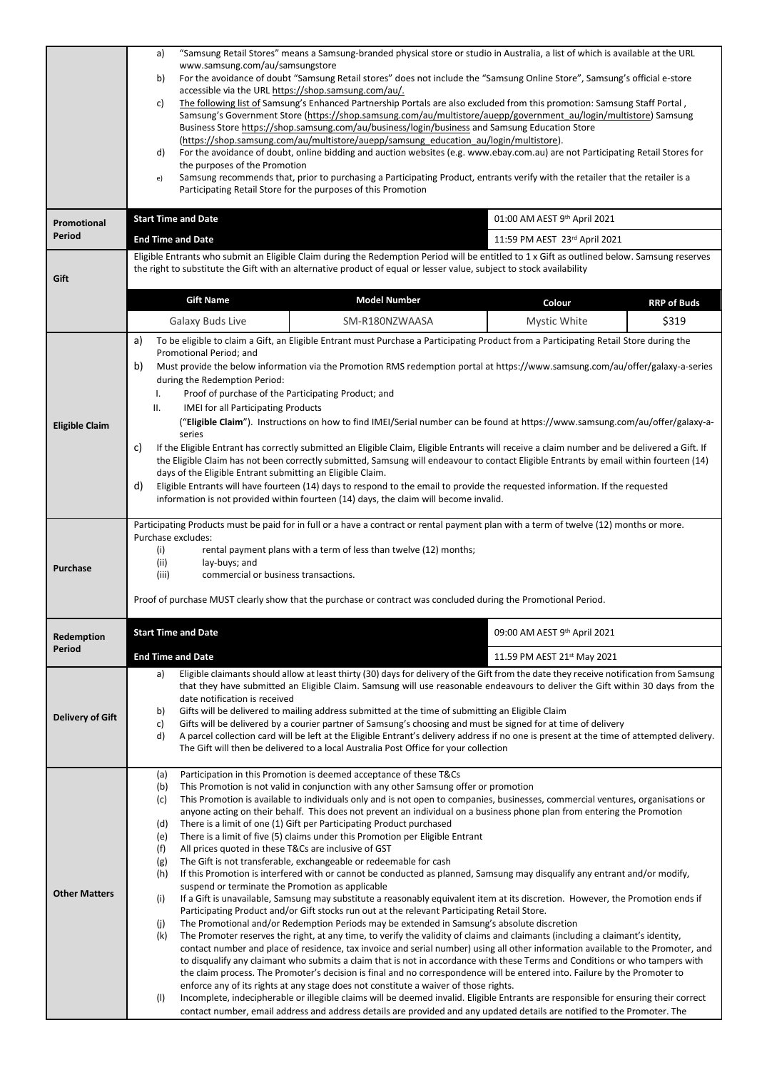|                              | "Samsung Retail Stores" means a Samsung-branded physical store or studio in Australia, a list of which is available at the URL<br>a)                                                                                                                                                         |                                                                                                                                                                                                                    |                                                                                                                                              |                    |  |  |  |  |  |
|------------------------------|----------------------------------------------------------------------------------------------------------------------------------------------------------------------------------------------------------------------------------------------------------------------------------------------|--------------------------------------------------------------------------------------------------------------------------------------------------------------------------------------------------------------------|----------------------------------------------------------------------------------------------------------------------------------------------|--------------------|--|--|--|--|--|
|                              | www.samsung.com/au/samsungstore<br>For the avoidance of doubt "Samsung Retail stores" does not include the "Samsung Online Store", Samsung's official e-store<br>b)                                                                                                                          |                                                                                                                                                                                                                    |                                                                                                                                              |                    |  |  |  |  |  |
|                              | accessible via the URL https://shop.samsung.com/au/.                                                                                                                                                                                                                                         |                                                                                                                                                                                                                    |                                                                                                                                              |                    |  |  |  |  |  |
|                              | The following list of Samsung's Enhanced Partnership Portals are also excluded from this promotion: Samsung Staff Portal,<br>c)                                                                                                                                                              |                                                                                                                                                                                                                    |                                                                                                                                              |                    |  |  |  |  |  |
|                              | Samsung's Government Store (https://shop.samsung.com/au/multistore/auepp/government au/login/multistore) Samsung<br>Business Store https://shop.samsung.com/au/business/login/business and Samsung Education Store                                                                           |                                                                                                                                                                                                                    |                                                                                                                                              |                    |  |  |  |  |  |
|                              | (https://shop.samsung.com/au/multistore/auepp/samsung_education_au/login/multistore).                                                                                                                                                                                                        |                                                                                                                                                                                                                    |                                                                                                                                              |                    |  |  |  |  |  |
|                              | d)<br>the purposes of the Promotion                                                                                                                                                                                                                                                          | For the avoidance of doubt, online bidding and auction websites (e.g. www.ebay.com.au) are not Participating Retail Stores for                                                                                     |                                                                                                                                              |                    |  |  |  |  |  |
|                              | e)                                                                                                                                                                                                                                                                                           | Samsung recommends that, prior to purchasing a Participating Product, entrants verify with the retailer that the retailer is a                                                                                     |                                                                                                                                              |                    |  |  |  |  |  |
|                              |                                                                                                                                                                                                                                                                                              | Participating Retail Store for the purposes of this Promotion                                                                                                                                                      |                                                                                                                                              |                    |  |  |  |  |  |
|                              | <b>Start Time and Date</b>                                                                                                                                                                                                                                                                   |                                                                                                                                                                                                                    | 01:00 AM AEST 9th April 2021                                                                                                                 |                    |  |  |  |  |  |
| <b>Promotional</b><br>Period | <b>End Time and Date</b>                                                                                                                                                                                                                                                                     |                                                                                                                                                                                                                    | 11:59 PM AEST 23rd April 2021                                                                                                                |                    |  |  |  |  |  |
|                              |                                                                                                                                                                                                                                                                                              |                                                                                                                                                                                                                    | Eligible Entrants who submit an Eligible Claim during the Redemption Period will be entitled to 1 x Gift as outlined below. Samsung reserves |                    |  |  |  |  |  |
|                              |                                                                                                                                                                                                                                                                                              | the right to substitute the Gift with an alternative product of equal or lesser value, subject to stock availability                                                                                               |                                                                                                                                              |                    |  |  |  |  |  |
| Gift                         |                                                                                                                                                                                                                                                                                              |                                                                                                                                                                                                                    |                                                                                                                                              |                    |  |  |  |  |  |
|                              | <b>Gift Name</b>                                                                                                                                                                                                                                                                             | <b>Model Number</b>                                                                                                                                                                                                | Colour                                                                                                                                       | <b>RRP of Buds</b> |  |  |  |  |  |
|                              | Galaxy Buds Live                                                                                                                                                                                                                                                                             | SM-R180NZWAASA                                                                                                                                                                                                     | Mystic White                                                                                                                                 | \$319              |  |  |  |  |  |
|                              | a)                                                                                                                                                                                                                                                                                           | To be eligible to claim a Gift, an Eligible Entrant must Purchase a Participating Product from a Participating Retail Store during the                                                                             |                                                                                                                                              |                    |  |  |  |  |  |
|                              | Promotional Period; and                                                                                                                                                                                                                                                                      |                                                                                                                                                                                                                    |                                                                                                                                              |                    |  |  |  |  |  |
|                              | Must provide the below information via the Promotion RMS redemption portal at https://www.samsung.com/au/offer/galaxy-a-series<br>b)                                                                                                                                                         |                                                                                                                                                                                                                    |                                                                                                                                              |                    |  |  |  |  |  |
|                              | during the Redemption Period:<br>Ι.                                                                                                                                                                                                                                                          | Proof of purchase of the Participating Product; and                                                                                                                                                                |                                                                                                                                              |                    |  |  |  |  |  |
|                              | ΙΙ.<br><b>IMEI for all Participating Products</b>                                                                                                                                                                                                                                            |                                                                                                                                                                                                                    |                                                                                                                                              |                    |  |  |  |  |  |
| <b>Eligible Claim</b>        |                                                                                                                                                                                                                                                                                              | ("Eligible Claim"). Instructions on how to find IMEI/Serial number can be found at https://www.samsung.com/au/offer/galaxy-a-                                                                                      |                                                                                                                                              |                    |  |  |  |  |  |
|                              | series                                                                                                                                                                                                                                                                                       |                                                                                                                                                                                                                    |                                                                                                                                              |                    |  |  |  |  |  |
|                              | c)<br>If the Eligible Entrant has correctly submitted an Eligible Claim, Eligible Entrants will receive a claim number and be delivered a Gift. If<br>the Eligible Claim has not been correctly submitted, Samsung will endeavour to contact Eligible Entrants by email within fourteen (14) |                                                                                                                                                                                                                    |                                                                                                                                              |                    |  |  |  |  |  |
|                              | days of the Eligible Entrant submitting an Eligible Claim.                                                                                                                                                                                                                                   |                                                                                                                                                                                                                    |                                                                                                                                              |                    |  |  |  |  |  |
|                              | d)<br>Eligible Entrants will have fourteen (14) days to respond to the email to provide the requested information. If the requested<br>information is not provided within fourteen (14) days, the claim will become invalid.                                                                 |                                                                                                                                                                                                                    |                                                                                                                                              |                    |  |  |  |  |  |
|                              |                                                                                                                                                                                                                                                                                              |                                                                                                                                                                                                                    |                                                                                                                                              |                    |  |  |  |  |  |
|                              |                                                                                                                                                                                                                                                                                              | Participating Products must be paid for in full or a have a contract or rental payment plan with a term of twelve (12) months or more.                                                                             |                                                                                                                                              |                    |  |  |  |  |  |
|                              | Purchase excludes:<br>rental payment plans with a term of less than twelve (12) months;<br>(i)                                                                                                                                                                                               |                                                                                                                                                                                                                    |                                                                                                                                              |                    |  |  |  |  |  |
| Purchase                     | (ii)<br>lay-buys; and                                                                                                                                                                                                                                                                        |                                                                                                                                                                                                                    |                                                                                                                                              |                    |  |  |  |  |  |
|                              | (iii)<br>commercial or business transactions.<br>Proof of purchase MUST clearly show that the purchase or contract was concluded during the Promotional Period.                                                                                                                              |                                                                                                                                                                                                                    |                                                                                                                                              |                    |  |  |  |  |  |
|                              |                                                                                                                                                                                                                                                                                              |                                                                                                                                                                                                                    |                                                                                                                                              |                    |  |  |  |  |  |
|                              |                                                                                                                                                                                                                                                                                              |                                                                                                                                                                                                                    |                                                                                                                                              |                    |  |  |  |  |  |
| Redemption                   | <b>Start Time and Date</b>                                                                                                                                                                                                                                                                   |                                                                                                                                                                                                                    | 09:00 AM AEST 9th April 2021                                                                                                                 |                    |  |  |  |  |  |
| Period                       | <b>End Time and Date</b>                                                                                                                                                                                                                                                                     |                                                                                                                                                                                                                    | 11.59 PM AEST 21st May 2021                                                                                                                  |                    |  |  |  |  |  |
|                              | a)                                                                                                                                                                                                                                                                                           | Eligible claimants should allow at least thirty (30) days for delivery of the Gift from the date they receive notification from Samsung                                                                            |                                                                                                                                              |                    |  |  |  |  |  |
|                              | that they have submitted an Eligible Claim. Samsung will use reasonable endeavours to deliver the Gift within 30 days from the                                                                                                                                                               |                                                                                                                                                                                                                    |                                                                                                                                              |                    |  |  |  |  |  |
|                              | date notification is received<br>b)                                                                                                                                                                                                                                                          |                                                                                                                                                                                                                    |                                                                                                                                              |                    |  |  |  |  |  |
| <b>Delivery of Gift</b>      | Gifts will be delivered to mailing address submitted at the time of submitting an Eligible Claim<br>Gifts will be delivered by a courier partner of Samsung's choosing and must be signed for at time of delivery<br>C)                                                                      |                                                                                                                                                                                                                    |                                                                                                                                              |                    |  |  |  |  |  |
|                              | d)<br>A parcel collection card will be left at the Eligible Entrant's delivery address if no one is present at the time of attempted delivery.<br>The Gift will then be delivered to a local Australia Post Office for your collection                                                       |                                                                                                                                                                                                                    |                                                                                                                                              |                    |  |  |  |  |  |
|                              |                                                                                                                                                                                                                                                                                              |                                                                                                                                                                                                                    |                                                                                                                                              |                    |  |  |  |  |  |
|                              | (a)                                                                                                                                                                                                                                                                                          | Participation in this Promotion is deemed acceptance of these T&Cs                                                                                                                                                 |                                                                                                                                              |                    |  |  |  |  |  |
|                              | This Promotion is not valid in conjunction with any other Samsung offer or promotion<br>(b)<br>This Promotion is available to individuals only and is not open to companies, businesses, commercial ventures, organisations or<br>(c)                                                        |                                                                                                                                                                                                                    |                                                                                                                                              |                    |  |  |  |  |  |
|                              | anyone acting on their behalf. This does not prevent an individual on a business phone plan from entering the Promotion                                                                                                                                                                      |                                                                                                                                                                                                                    |                                                                                                                                              |                    |  |  |  |  |  |
|                              | There is a limit of one (1) Gift per Participating Product purchased<br>(d)                                                                                                                                                                                                                  |                                                                                                                                                                                                                    |                                                                                                                                              |                    |  |  |  |  |  |
|                              | There is a limit of five (5) claims under this Promotion per Eligible Entrant<br>(e)<br>(f)<br>All prices quoted in these T&Cs are inclusive of GST                                                                                                                                          |                                                                                                                                                                                                                    |                                                                                                                                              |                    |  |  |  |  |  |
|                              | The Gift is not transferable, exchangeable or redeemable for cash<br>(g)                                                                                                                                                                                                                     |                                                                                                                                                                                                                    |                                                                                                                                              |                    |  |  |  |  |  |
|                              | If this Promotion is interfered with or cannot be conducted as planned, Samsung may disqualify any entrant and/or modify,<br>(h)                                                                                                                                                             |                                                                                                                                                                                                                    |                                                                                                                                              |                    |  |  |  |  |  |
| <b>Other Matters</b>         | suspend or terminate the Promotion as applicable<br>If a Gift is unavailable, Samsung may substitute a reasonably equivalent item at its discretion. However, the Promotion ends if<br>(i)                                                                                                   |                                                                                                                                                                                                                    |                                                                                                                                              |                    |  |  |  |  |  |
|                              | Participating Product and/or Gift stocks run out at the relevant Participating Retail Store.                                                                                                                                                                                                 |                                                                                                                                                                                                                    |                                                                                                                                              |                    |  |  |  |  |  |
|                              | (j)<br>The Promotional and/or Redemption Periods may be extended in Samsung's absolute discretion<br>The Promoter reserves the right, at any time, to verify the validity of claims and claimants (including a claimant's identity,                                                          |                                                                                                                                                                                                                    |                                                                                                                                              |                    |  |  |  |  |  |
|                              | (k)                                                                                                                                                                                                                                                                                          |                                                                                                                                                                                                                    |                                                                                                                                              |                    |  |  |  |  |  |
|                              | contact number and place of residence, tax invoice and serial number) using all other information available to the Promoter, and<br>to disqualify any claimant who submits a claim that is not in accordance with these Terms and Conditions or who tampers with                             |                                                                                                                                                                                                                    |                                                                                                                                              |                    |  |  |  |  |  |
|                              |                                                                                                                                                                                                                                                                                              | the claim process. The Promoter's decision is final and no correspondence will be entered into. Failure by the Promoter to<br>enforce any of its rights at any stage does not constitute a waiver of those rights. |                                                                                                                                              |                    |  |  |  |  |  |
|                              | (1)                                                                                                                                                                                                                                                                                          | Incomplete, indecipherable or illegible claims will be deemed invalid. Eligible Entrants are responsible for ensuring their correct                                                                                |                                                                                                                                              |                    |  |  |  |  |  |
|                              |                                                                                                                                                                                                                                                                                              | contact number, email address and address details are provided and any updated details are notified to the Promoter. The                                                                                           |                                                                                                                                              |                    |  |  |  |  |  |